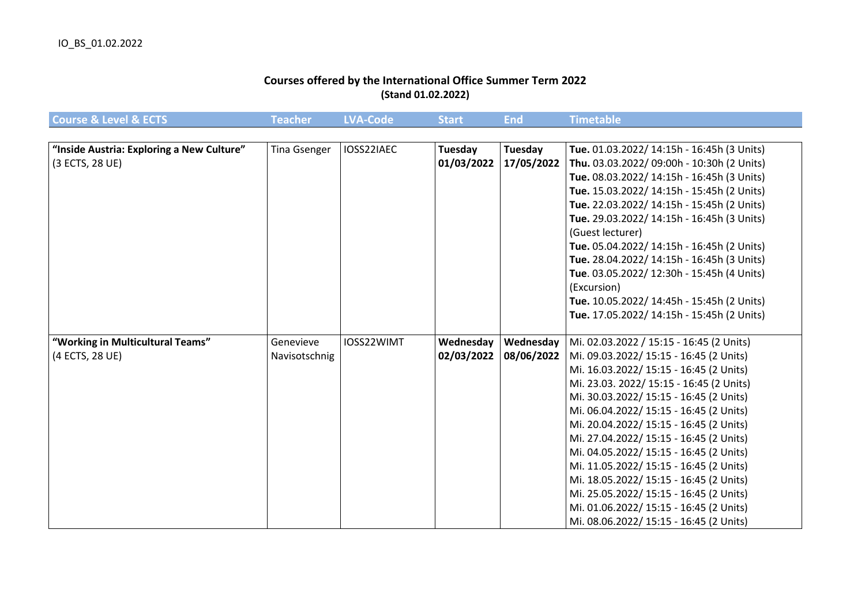## **Courses offered by the International Office Summer Term 2022 (Stand 01.02.2022)**

| <b>Course &amp; Level &amp; ECTS</b>      | <b>Feacher</b>      | <b>LVA-Code</b> | <b>Start</b> | <b>End</b> | Timetable                                  |
|-------------------------------------------|---------------------|-----------------|--------------|------------|--------------------------------------------|
|                                           |                     |                 |              |            |                                            |
| "Inside Austria: Exploring a New Culture" | <b>Tina Gsenger</b> | IOSS22IAEC      | Tuesday      | Tuesday    | Tue. 01.03.2022/ 14:15h - 16:45h (3 Units) |
| (3 ECTS, 28 UE)                           |                     |                 | 01/03/2022   | 17/05/2022 | Thu. 03.03.2022/ 09:00h - 10:30h (2 Units) |
|                                           |                     |                 |              |            | Tue. 08.03.2022/ 14:15h - 16:45h (3 Units) |
|                                           |                     |                 |              |            | Tue. 15.03.2022/ 14:15h - 15:45h (2 Units) |
|                                           |                     |                 |              |            | Tue. 22.03.2022/ 14:15h - 15:45h (2 Units) |
|                                           |                     |                 |              |            | Tue. 29.03.2022/ 14:15h - 16:45h (3 Units) |
|                                           |                     |                 |              |            | (Guest lecturer)                           |
|                                           |                     |                 |              |            | Tue. 05.04.2022/ 14:15h - 16:45h (2 Units) |
|                                           |                     |                 |              |            | Tue. 28.04.2022/ 14:15h - 16:45h (3 Units) |
|                                           |                     |                 |              |            | Tue. 03.05.2022/ 12:30h - 15:45h (4 Units) |
|                                           |                     |                 |              |            | (Excursion)                                |
|                                           |                     |                 |              |            | Tue. 10.05.2022/ 14:45h - 15:45h (2 Units) |
|                                           |                     |                 |              |            | Tue. 17.05.2022/ 14:15h - 15:45h (2 Units) |
|                                           |                     |                 |              |            |                                            |
| "Working in Multicultural Teams"          | Genevieve           | IOSS22WIMT      | Wednesday    | Wednesday  | Mi. 02.03.2022 / 15:15 - 16:45 (2 Units)   |
| (4 ECTS, 28 UE)                           | Navisotschnig       |                 | 02/03/2022   | 08/06/2022 | Mi. 09.03.2022/ 15:15 - 16:45 (2 Units)    |
|                                           |                     |                 |              |            | Mi. 16.03.2022/ 15:15 - 16:45 (2 Units)    |
|                                           |                     |                 |              |            | Mi. 23.03. 2022/ 15:15 - 16:45 (2 Units)   |
|                                           |                     |                 |              |            | Mi. 30.03.2022/ 15:15 - 16:45 (2 Units)    |
|                                           |                     |                 |              |            | Mi. 06.04.2022/ 15:15 - 16:45 (2 Units)    |
|                                           |                     |                 |              |            | Mi. 20.04.2022/ 15:15 - 16:45 (2 Units)    |
|                                           |                     |                 |              |            | Mi. 27.04.2022/ 15:15 - 16:45 (2 Units)    |
|                                           |                     |                 |              |            | Mi. 04.05.2022/ 15:15 - 16:45 (2 Units)    |
|                                           |                     |                 |              |            | Mi. 11.05.2022/ 15:15 - 16:45 (2 Units)    |
|                                           |                     |                 |              |            | Mi. 18.05.2022/ 15:15 - 16:45 (2 Units)    |
|                                           |                     |                 |              |            | Mi. 25.05.2022/ 15:15 - 16:45 (2 Units)    |
|                                           |                     |                 |              |            | Mi. 01.06.2022/ 15:15 - 16:45 (2 Units)    |
|                                           |                     |                 |              |            | Mi. 08.06.2022/ 15:15 - 16:45 (2 Units)    |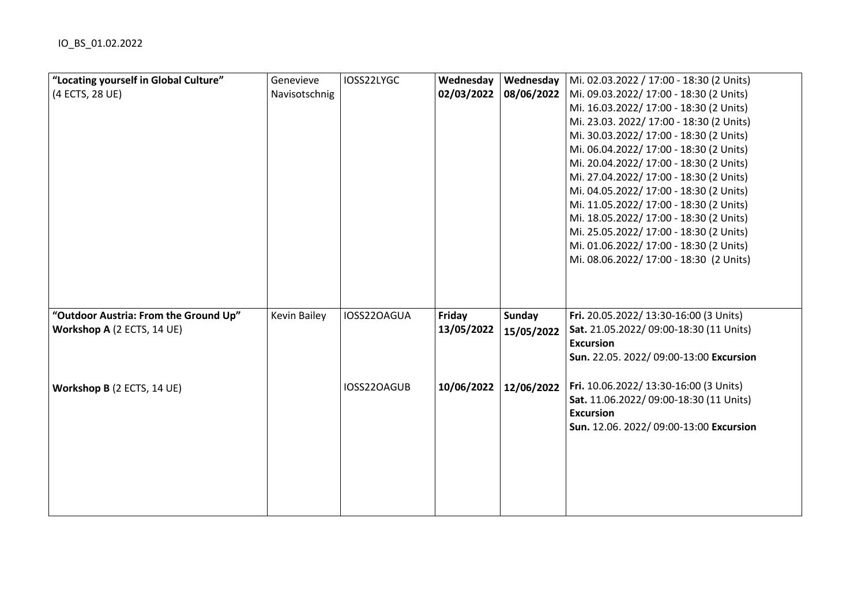| "Locating yourself in Global Culture" | Genevieve           | IOSS22LYGC  | Wednesday  | Wednesday  | Mi. 02.03.2022 / 17:00 - 18:30 (2 Units)                   |
|---------------------------------------|---------------------|-------------|------------|------------|------------------------------------------------------------|
| (4 ECTS, 28 UE)                       | Navisotschnig       |             | 02/03/2022 | 08/06/2022 | Mi. 09.03.2022/ 17:00 - 18:30 (2 Units)                    |
|                                       |                     |             |            |            | Mi. 16.03.2022/ 17:00 - 18:30 (2 Units)                    |
|                                       |                     |             |            |            | Mi. 23.03. 2022/ 17:00 - 18:30 (2 Units)                   |
|                                       |                     |             |            |            | Mi. 30.03.2022/ 17:00 - 18:30 (2 Units)                    |
|                                       |                     |             |            |            | Mi. 06.04.2022/ 17:00 - 18:30 (2 Units)                    |
|                                       |                     |             |            |            | Mi. 20.04.2022/ 17:00 - 18:30 (2 Units)                    |
|                                       |                     |             |            |            | Mi. 27.04.2022/ 17:00 - 18:30 (2 Units)                    |
|                                       |                     |             |            |            | Mi. 04.05.2022/ 17:00 - 18:30 (2 Units)                    |
|                                       |                     |             |            |            | Mi. 11.05.2022/ 17:00 - 18:30 (2 Units)                    |
|                                       |                     |             |            |            | Mi. 18.05.2022/ 17:00 - 18:30 (2 Units)                    |
|                                       |                     |             |            |            | Mi. 25.05.2022/ 17:00 - 18:30 (2 Units)                    |
|                                       |                     |             |            |            | Mi. 01.06.2022/ 17:00 - 18:30 (2 Units)                    |
|                                       |                     |             |            |            | Mi. 08.06.2022/ 17:00 - 18:30 (2 Units)                    |
|                                       |                     |             |            |            |                                                            |
|                                       |                     |             |            |            |                                                            |
|                                       |                     |             |            |            |                                                            |
| "Outdoor Austria: From the Ground Up" | <b>Kevin Bailey</b> | IOSS22OAGUA | Friday     | Sunday     | Fri. 20.05.2022/ 13:30-16:00 (3 Units)                     |
| Workshop A (2 ECTS, 14 UE)            |                     |             | 13/05/2022 | 15/05/2022 | Sat. 21.05.2022/09:00-18:30 (11 Units)<br><b>Excursion</b> |
|                                       |                     |             |            |            | Sun. 22.05. 2022/ 09:00-13:00 Excursion                    |
|                                       |                     | IOSS22OAGUB | 10/06/2022 | 12/06/2022 | Fri. 10.06.2022/ 13:30-16:00 (3 Units)                     |
| Workshop B (2 ECTS, 14 UE)            |                     |             |            |            | Sat. 11.06.2022/ 09:00-18:30 (11 Units)                    |
|                                       |                     |             |            |            | <b>Excursion</b>                                           |
|                                       |                     |             |            |            | Sun. 12.06. 2022/ 09:00-13:00 Excursion                    |
|                                       |                     |             |            |            |                                                            |
|                                       |                     |             |            |            |                                                            |
|                                       |                     |             |            |            |                                                            |
|                                       |                     |             |            |            |                                                            |
|                                       |                     |             |            |            |                                                            |
|                                       |                     |             |            |            |                                                            |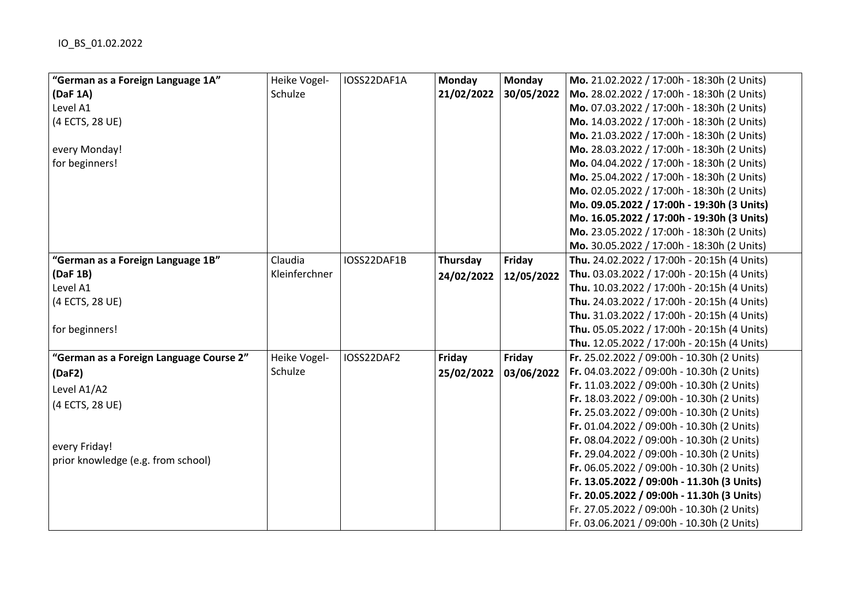| "German as a Foreign Language 1A"       | Heike Vogel-  | IOSS22DAF1A | Monday     | <b>Monday</b> | Mo. 21.02.2022 / 17:00h - 18:30h (2 Units)  |
|-----------------------------------------|---------------|-------------|------------|---------------|---------------------------------------------|
| (DaF 1A)                                | Schulze       |             | 21/02/2022 | 30/05/2022    | Mo. 28.02.2022 / 17:00h - 18:30h (2 Units)  |
| Level A1                                |               |             |            |               | Mo. 07.03.2022 / 17:00h - 18:30h (2 Units)  |
| (4 ECTS, 28 UE)                         |               |             |            |               | Mo. 14.03.2022 / 17:00h - 18:30h (2 Units)  |
|                                         |               |             |            |               | Mo. 21.03.2022 / 17:00h - 18:30h (2 Units)  |
| every Monday!                           |               |             |            |               | Mo. 28.03.2022 / 17:00h - 18:30h (2 Units)  |
| for beginners!                          |               |             |            |               | Mo. 04.04.2022 / 17:00h - 18:30h (2 Units)  |
|                                         |               |             |            |               | Mo. 25.04.2022 / 17:00h - 18:30h (2 Units)  |
|                                         |               |             |            |               | Mo. 02.05.2022 / 17:00h - 18:30h (2 Units)  |
|                                         |               |             |            |               | Mo. 09.05.2022 / 17:00h - 19:30h (3 Units)  |
|                                         |               |             |            |               | Mo. 16.05.2022 / 17:00h - 19:30h (3 Units)  |
|                                         |               |             |            |               | Mo. 23.05.2022 / 17:00h - 18:30h (2 Units)  |
|                                         |               |             |            |               | Mo. 30.05.2022 / 17:00h - 18:30h (2 Units)  |
| "German as a Foreign Language 1B"       | Claudia       | IOSS22DAF1B | Thursday   | Friday        | Thu. 24.02.2022 / 17:00h - 20:15h (4 Units) |
| (DaF 1B)                                | Kleinferchner |             | 24/02/2022 | 12/05/2022    | Thu. 03.03.2022 / 17:00h - 20:15h (4 Units) |
| Level A1                                |               |             |            |               | Thu. 10.03.2022 / 17:00h - 20:15h (4 Units) |
| (4 ECTS, 28 UE)                         |               |             |            |               | Thu. 24.03.2022 / 17:00h - 20:15h (4 Units) |
|                                         |               |             |            |               | Thu. 31.03.2022 / 17:00h - 20:15h (4 Units) |
| for beginners!                          |               |             |            |               | Thu. 05.05.2022 / 17:00h - 20:15h (4 Units) |
|                                         |               |             |            |               | Thu. 12.05.2022 / 17:00h - 20:15h (4 Units) |
| "German as a Foreign Language Course 2" | Heike Vogel-  | IOSS22DAF2  | Friday     | Friday        | Fr. 25.02.2022 / 09:00h - 10.30h (2 Units)  |
| (DaF2)                                  | Schulze       |             | 25/02/2022 | 03/06/2022    | Fr. 04.03.2022 / 09:00h - 10.30h (2 Units)  |
| Level A1/A2                             |               |             |            |               | Fr. 11.03.2022 / 09:00h - 10.30h (2 Units)  |
| (4 ECTS, 28 UE)                         |               |             |            |               | Fr. 18.03.2022 / 09:00h - 10.30h (2 Units)  |
|                                         |               |             |            |               | Fr. 25.03.2022 / 09:00h - 10.30h (2 Units)  |
|                                         |               |             |            |               | Fr. 01.04.2022 / 09:00h - 10.30h (2 Units)  |
| every Friday!                           |               |             |            |               | Fr. 08.04.2022 / 09:00h - 10.30h (2 Units)  |
| prior knowledge (e.g. from school)      |               |             |            |               | Fr. 29.04.2022 / 09:00h - 10.30h (2 Units)  |
|                                         |               |             |            |               | Fr. 06.05.2022 / 09:00h - 10.30h (2 Units)  |
|                                         |               |             |            |               | Fr. 13.05.2022 / 09:00h - 11.30h (3 Units)  |
|                                         |               |             |            |               | Fr. 20.05.2022 / 09:00h - 11.30h (3 Units)  |
|                                         |               |             |            |               | Fr. 27.05.2022 / 09:00h - 10.30h (2 Units)  |
|                                         |               |             |            |               | Fr. 03.06.2021 / 09:00h - 10.30h (2 Units)  |